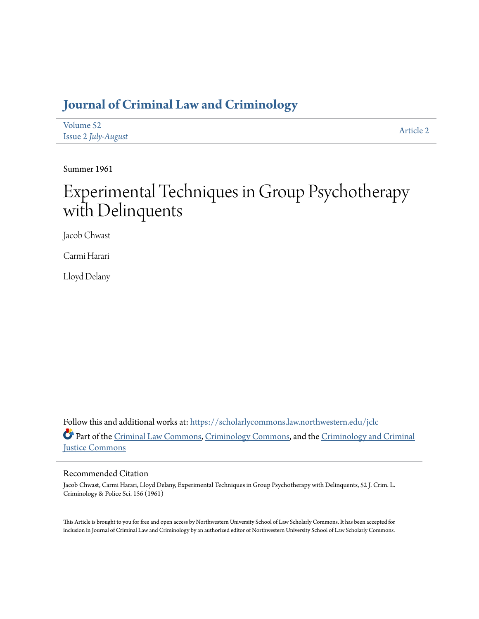# **[Journal of Criminal Law and Criminology](https://scholarlycommons.law.northwestern.edu/jclc?utm_source=scholarlycommons.law.northwestern.edu%2Fjclc%2Fvol52%2Fiss2%2F2&utm_medium=PDF&utm_campaign=PDFCoverPages)**

| Volume 52           | Article 2 |
|---------------------|-----------|
| Issue 2 July-August |           |

Summer 1961

# Experimental Techniques in Group Psychotherapy with Delinquents

Jacob Chwast

Carmi Harari

Lloyd Delany

Follow this and additional works at: [https://scholarlycommons.law.northwestern.edu/jclc](https://scholarlycommons.law.northwestern.edu/jclc?utm_source=scholarlycommons.law.northwestern.edu%2Fjclc%2Fvol52%2Fiss2%2F2&utm_medium=PDF&utm_campaign=PDFCoverPages) Part of the [Criminal Law Commons](http://network.bepress.com/hgg/discipline/912?utm_source=scholarlycommons.law.northwestern.edu%2Fjclc%2Fvol52%2Fiss2%2F2&utm_medium=PDF&utm_campaign=PDFCoverPages), [Criminology Commons](http://network.bepress.com/hgg/discipline/417?utm_source=scholarlycommons.law.northwestern.edu%2Fjclc%2Fvol52%2Fiss2%2F2&utm_medium=PDF&utm_campaign=PDFCoverPages), and the [Criminology and Criminal](http://network.bepress.com/hgg/discipline/367?utm_source=scholarlycommons.law.northwestern.edu%2Fjclc%2Fvol52%2Fiss2%2F2&utm_medium=PDF&utm_campaign=PDFCoverPages) [Justice Commons](http://network.bepress.com/hgg/discipline/367?utm_source=scholarlycommons.law.northwestern.edu%2Fjclc%2Fvol52%2Fiss2%2F2&utm_medium=PDF&utm_campaign=PDFCoverPages)

# Recommended Citation

Jacob Chwast, Carmi Harari, Lloyd Delany, Experimental Techniques in Group Psychotherapy with Delinquents, 52 J. Crim. L. Criminology & Police Sci. 156 (1961)

This Article is brought to you for free and open access by Northwestern University School of Law Scholarly Commons. It has been accepted for inclusion in Journal of Criminal Law and Criminology by an authorized editor of Northwestern University School of Law Scholarly Commons.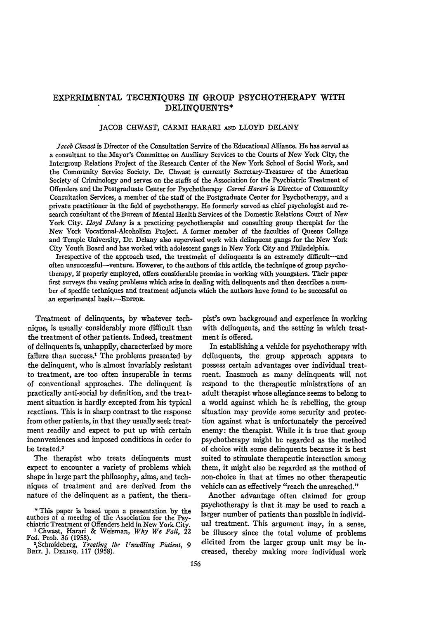# EXPERIMENTAL **TECHNIQUES** IN GROUP PSYCHOTHERAPY WITH **DELINQUENTS\***

# JACOB CHWAST, CARMI HARARI **AND** LLOYD DELANY

*Jacob Chwast* is Director of the Consultation Service of the Educational Alliance. He has served as a consultant to the Mayor's Committee on Auxiliary Services to the Courts of New York City, the Intergroup Relations Project of the Research Center of the New York School of Social Work, and the Community Service Society. Dr. Chwast is currently Secretary-Treasurer of the American Society of Criminology and serves on the staffs of the Association for the Psychiatric Treatment of Offenders and the Postgraduate Center for Psychotherapy *Carmi Harari* is Director of Community Consultation Services, a member of the staff of the Postgraduate Center for Psychotherapy, and a private practitioner in the field of psychotherapy. He formerly served as chief psychologist and research consultant of the Bureau of Mental Health Services of the Domestic Relations Court of New York City. *loyd Delany* is a practicing psychotherapist and consulting group therapist for the New York Vocational-Alcoholism Project. A former member of the faculties of Queens College and Temple University, Dr. Delany also supervised work with delinquent gangs for the New York City Youth Board and has worked with adolescent gangs in New York City and Philadelphia.

Irrespective of the approach used, the treatmefit of delinquents is an extremely difficult-and often unsuccessful-venture. However, to the authors of this article, the technique of group psychotherapy, if properly employed, offers considerable promise in working with youngsters. Their paper first surveys the vexing problems which arise in dealing with delinquents and then describes a number of specific techniques and treatment adjuncts which the authors have found to be successful on an experimental basis.--EDITOR.

Treatment of delinquents, by whatever technique, is usually considerably more difficult than the treatment of other patients. Indeed, treatment of delinquents is, unhappily, characterized by more failure than success.<sup>1</sup> The problems presented by the delinquent, who is almost invariably resistant to treatment, are too often insuperable in terms of conventional approaches. The delinquent is practically anti-social by definition, and the treatment situation is hardly excepted from his typical reactions. This is in sharp contrast to the response from other patients, in that they usually seek treatment readily and expect to put up with certain inconveniences and imposed conditions in order to be treated.2

The therapist who treats delinquents must expect to encounter a variety of problems which shape in large part the philosophy, aims, and techniques of treatment and are derived from the nature of the delinquent as a patient, the thera-

pist's own background and experience in working with delinquents, and the setting in which treatment is offered.

In establishing a vehicle for psychotherapy with delinquents, the group approach appears to possess certain advantages over individual treatment. Inasmuch as many delinquents will not respond to the therapeutic ministrations of an adult therapist whose allegiance seems to belong to a world against which he is rebelling, the group situation may provide some security and protection against what is unfortunately the perceived enemy: the therapist. While it is true that group psychotherapy might be regarded as the method of choice with some delinquents because it is best suited to stimulate therapeutic interaction among them, it might also be regarded as the method of non-choice in that at times no other therapeutic vehicle can as effectively "reach the unreached."

Another advantage often claimed for group psychotherapy is that it may be used to reach a larger number of patients than possible in individual treatment. This argument 'may, in a sense, be illusory since the total volume of problems elicited from the larger group unit may be increased, thereby making more individual work

**<sup>\*</sup>** This paper is based upon a presentation by the authors at a meeting of the Association for the Psy- chiatric Treatment of Offenders held in New York City. **1** Chwast, Harari & Weisman, *Why We Fail,* 22

Fed. Prob. 36 (1958).<br><sup>2</sup> Schmideberg, *Treating the Unwilling Patient*, 9<br>BRIT. J. DELINQ. 117 (1958).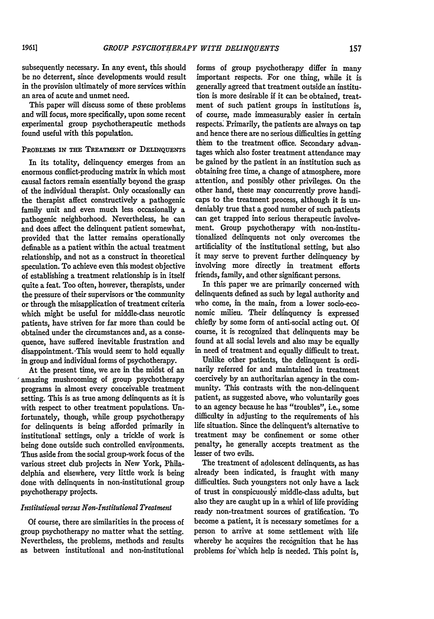subsequently necessary. In any event, this should be no deterrent, since developments would result in the provision ultimately of more services within an area of acute and unmet need.

This paper will discuss some of these problems and will focus, more specifically, upon some recent experimental group psychotherapeutic methods found useful with this population.

# PROBLEMS **IN THE** TREATMENT **OF DELINQUENTS**

In its totality, delinquency emerges from an enormous conflict-producing matrix in which most causal factors remain essentially beyond the grasp of the individual therapist. Only occasionally can the therapist affect constructively a pathogenic family unit and even much less occasionally a pathogenic neighborhood. Nevertheless, he can and does affect the delinquent patient somewhat, provided that the latter remains operationally definable as a patient within the actual treatment relationship, and not as a construct in theoretical speculation. To achieve even this modest objective of establishing a treatment relationship is in itself quite a feat. Too often, however, therapists, under the pressure of their supervisors or the community or through the misapplication of treatment criteria which might be useful for middle-class neurotic patients, have striven for far more than could be obtained under the circumstances and, as a consequence, have suffered inevitable frustration and disappointment. -This would seem to hold equally in group and individual forms of psychotherapy.

At the present time, we are in the midst of an 'amazing mushrooming of group psychotherapy programs in almost every conceivable treatment setting. This is as true among delinquents as it is with respect to other treatment populations. Unfortunately, though, while group psychotherapy for delinquents is being afforded primarily in institutional settings, only a trickle of work is being done outside such controlled environments. Thus aside from the social group-work focus of the various street **club** projects in New York, Philadelphia and elsewhere, very little work is being done with delinquents in non-institutional group psychotherapy projects.

# *Iustitutimal versus Non-Institutional Treatment*

Of course, there are similarities in the process of group psychotherapy no matter what the setting. Nevertheless, the problems, methods and tesults as between institutional and non-institutional

forms of group psychotherapy differ in many important respects. For one thing, while it is generally agreed that treatment outside an institution is more desirable if it can be obtained, treatment of such patient groups in institutions is, of course, made immeasurably easier in certain respects. Primarily, the patients are always on tap and hence there are no serious difficulties in getting them to the treatment office. Secondary advantages which also foster treatment attendance may be gained **by** the patient in an institution such as obtaining free time, a change of atmosphere, more attention, and possibly other privileges. On the other hand, these may concurrently prove handicaps to the treatment process, although it is undeniably true that a good number of such patients can get trapped into serious therapeutic involvement. Group psychotherapy with non-institutionalized delinquents not only overcomes the artificiality of the institutional setting, but also it may serve to prevent further delinquency **by** involving more directly in treatment efforts friends, family, and other significant persons.

In this paper we are primarily concerned with delinquents defined as such **by** legal authority and who come, in the main, from a lower socio-economic milieu. Their delinquency is expressed chiefly **by** some form of anti-social acting out. Of course, it is recognized that delinquents may be found at all social levels and also may be equally in need of treatment and equally difficult to treat.

Unlike other patients, the delinquent is ordinarily referred for and maintained in treatment coercively by an authoritarian agency in the community. This contrasts with the non-delinquent patient, as suggested above, who voluntarily goes to an agency because he has "troubles", i.e., some difficulty in adjusting to the requirements of his life situation. Since the delinquent's alternative to treatment may be confinement or some other penalty, he generally accepts treatment as the lesser of two evils.

The treatment of adolescent delinquents, as has already been indicated, is fraught with many difficulties. Such youngsters not only have a lack of trust in conspicuously middle-class adults, but also they are caught up in a whirl of life providing ready non-treatment sources of gratification. To become a patient, it is necessary sometimes for a person to arrive at some settlement with life whereby he acquires the recognition that he has problems for which help is needed. This point is,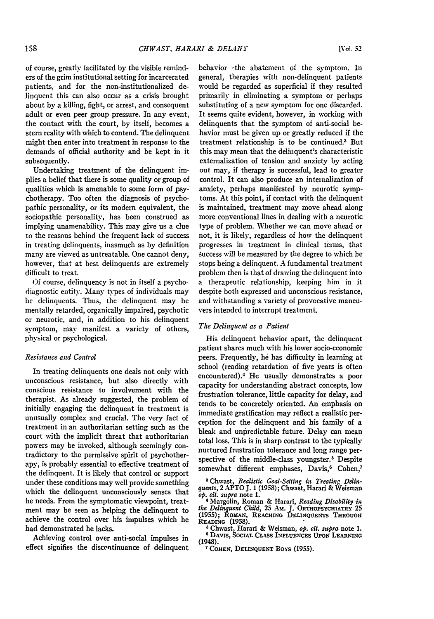of course, greatly facilitated by the visible reminders of the grim institutional setting for incarcerated patients, and for the non-institutionalized delinquent this can also occur as a crisis brought about by a killing, fight, or arrest, and consequent adult or even peer group pressure. In any event, the contact with the court, by itself, becomes a stern reality with which to contend. The delinquent might then enter into treatment in response to the demands of official authority and be kept in it subsequently.

Undertaking treatment of the delinquent implies a belief that there is some quality or group of qualities which is amenable to some form of psychotherapy. Too often the diagnosis of psychopathic personality, or its modern equivalent, the sociopathic personality, has been construed as implying unamenability. This may give us a clue to the reasons behind the frequent lack of success in treating delinquents, inasmuch as by definition many are viewed as untreatable. One cannot deny, however, that at best delinquents are extremely difficult to treat.

**Of** course, delinquency is not in itself a psychodiagnostic entity. Many types of individuals may be delinquents. Thus, the delinquent may be mentally retarded, organically impaired, psychotic or neurotic, and, in addition to his delinquent symptom, may manifest a variety of others, physical or psychological.

# *Resistance and Control*

In treating delinquents one deals not only with unconscious resistance, but also directly with conscious resistance to involvement with the therapist. As already suggested, the problem of initially engaging the delinquent in treatment is unusually complex and crucial. The very fact of treatment in an authoritarian setting such as the court with the implicit threat that authoritarian powers may be invoked, although seemingly contradictory to the permissive spirit of psychotherapy, is probably essential to effective treatment of the delinquent. It is likely that control or support under these conditions may well provide something which the delinquent unconsciously senses that he needs. From the symptomatic viewpoint, treatment may be seen as helping the delinquent to achieve the control over his impulses which he had demonstrated he lacks.

Achieving control over anti-social impulses in effect signifies the discontinuance of delinquent behavior -the abatement of the symptom. In general, therapies with non-delinquent patients would be regarded as superficial if they resulted primarily in eliminating a symptom or perhaps substituting of a new symptom for one discarded. It seems quite evident, however, in working with delinquents that the symptom of anti-social behavior must be given up or greatly reduced **if** the treatment relationship is to be continued.3 But this may mean that the delinquent's characteristic externalization of tension and anxiety **by** acting out may, if therapy is successful, lead to greater control. It can also produce an internalization of anxiety, perhaps manifested **by** neurotic symptoms. At this point, if contact with the delinquent is maintained, treatment may move ahead along more conventional lines in dealing with a neurotic type of problem. Whether we can move ahead or not, it is likely, regardless of how the delinquent progresses in treatment in clinical terms, that uccess will be measured by the degree to which he stops being a delinquent. A fundamental treatment problem then is that of drawing the delinquent into a therapeutic relationship, keeping him in it despite both expressed and unconscious resistance, and withstanding a variety of provocative maneuvers intended to interrupt treatment.

## *The Delinquent as a Patient*

His delinquent behavior apart, the delinquent patient shares much with his lower socio-economic peers. Frequently, he has difficulty in learning at school (reading retardation of five years is often encountered).<sup>4</sup> He usually demonstrates a poor capacity for understanding abstract concepts, low frustration tolerance, little capacity for delay, and tends to be concretely oriented. An emphasis on immediate gratification may reflect a realistic perception for the delinquent and his family of a bleak and unpredictable future. Delay can mean total loss. This is in sharp contrast to the typically nurtured frustration tolerance and long range perspective of the middle-class youngster.<sup>5</sup> Despite somewhat different emphases, Davis,<sup>6</sup> Cohen,7

**.** Chwast, *Realistic Goal-Seting in Treating Ddinquents,* 2 APTO **J.** 1 **(1958);** Chwast, Harari & Weisman *op. cit. supra* note **1.** 4 Margolin, Roman & Harari, *Reading Disability in*

**6** DAvIS, SOCIAL **CLASS** INFLUENCES **UPON LEARNING** (1948).

**7** COHEN, **DELINQUENT** Boys (1955).

*the Delinquent Child,* **25** AM. **J.** ORTitOPSyCHIATRY **25 (1955);** ROMAN, **REACHING DELINQUENTS THROUGH READING (1958). <sup>6</sup>**Chwast, Harari **&** Weisman, *op. cit. supra* note **1.**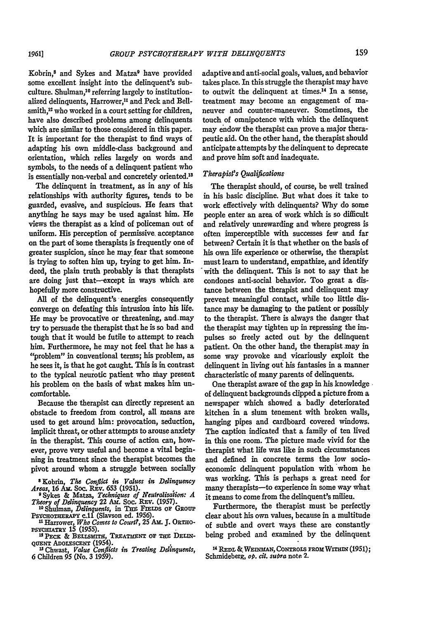Kobrin,<sup>8</sup> and Sykes and Matza<sup>9</sup> have provided some excellent insight into the delinquent's subculture. Shulman,10 referring largely to institutionalized delinquents, Harrower,<sup>11</sup> and Peck and Bellsmith,<sup>12</sup> who worked in a court setting for children, have also described problems among delinquents which are similar to those considered in this paper. It is important for the therapist to find ways of adapting his own middle-class background and orientation, which relies largely on words and symbols, to the needs of a delinquent patient who is essentially non-verbal and concretely oriented.<sup>13</sup>

The delinquent in treatment, as in any of his relationships with authority figures, tends to be guarded, evasive, and suspicious. He fears that anything he says may be used against him. He views the therapist as a kind of policeman out of uniform. His perception of permissive, acceptance on the part of some therapists is frequently one of greater suspicion, since he may, fear that someone is trying **to** soften him up, trying to get him. **In**deed, the plain truth probably is that therapists are doing just that--except in ways which are hopefully more constructive.

**All** of the delinquent's energies consequently converge on defeating this intrusion into his life. He may be provocative or threatening, and.may try to persuade the therapist that he is so bad and tough that it would be futile to attempt to reach him. Furthermore, he may not feel that he has a "problem" in conventional terms; his problem, as he sees it, is that he got caught. This is in contrast to the typical neurotic patient who nay present his problem on the basis of what makes him uncomfortable.

Because the therapist can directly represent an obstacle to freedom from control, all means are used to get around him: provocation, seduction, implicit threat, or other attempts to arouse anxiety in the therapist. This course of action can, however, prove very useful and become a vital beginning in treatment since the therapist becomes the pivot around whom a struggle between socially adaptive and anti-social goals, values, and behavior takes place. In this struggle the therapist may have to outwit the delinquent at times. 4 In a sense, treatment may become an engagement of maneuver and counter-maneuver. Sometimes, the touch of omnipotence with which the delinquent may endow the therapist can prove a major therapeutic aid. On the other hand, the therapist should anticipate attempts **by** the delinquent to deprecate and prove him soft and inadequate.

# *Therapist's Qualificatons*

The therapist should, of course, be well trained in his basic discipline. But what does it take to work effectively with delinquents? **Why** do some people enter an area of work which is so difficult and relatively unrewarding and where progress is often imperceptible with successes few and far between? Certain it is that whether on the basis of his own life experience or otherwise, the therapist must learn to understand, empathize, and identify 'with the delinquent. This is not to say that he condones anti-social behavior. Too great a distance between the therapist and delinquent may prevent meaningful contact, while too little distance may be damaging to the patient or possibly to the therapist. There is always the danger that the therapist may tighten up in repressing the **im**pulses so freely acted out by the delinquent patient. On the other hand, the therapist may in some way provoke and vicariously exploit the delinquent in living out his fantasies in a manner characteristic of many parents of delinquents.

One therapist aware of the gap in his knowledge of delinquent backgrounds dipped a picture from a newspaper which showed a badly deteriorated kitchen in a slum tenement with broken walls, hanging pipes and cardboard covered windows. The caption indicated that a family of ten lived in this one room. The picture made vivid for the therapist what life was like in such circumstances and defined in concrete terms the low socioeconomic delinquent population with whom he was working. This is perhaps a great need for many therapists-to experience in some way what it means to come from the delinquent's milieu.

Furthermore, the therapist must be perfectly clear about his own values, because in a multitude of subtle and overt ways these are constantly being probed and examined **by** the delinquent

<sup>14</sup> REDL & WEINMAN, CONTROLS FROM WITHIN (1951); **Schmideberg,** *op. cit. suira* note **2.**

**<sup>&#</sup>x27; Kobrin,** *The Conflict* **in** *Values in Delinquency*

*Areas,* **16 Ai.** Soc. Rav. **653 (1951).** ' Sykes & **Matza,** *Techniques* **of** *Neutralizaiion: A Theory of Delinquency* 22 **Am.** Soc. REv. **(1957).**

<sup>&</sup>lt;sup>10</sup> Shulman, *Delinquents*, in THE FIELDS OF GROUP<br>PSYCHOTHERAPY C.11 (Slavson ed. 1956).<br><sup>11</sup> Harrower, *Who Comes to Court?*, 25 AM. J. ORTHO-<br>PSYCHIATRY 15 (1955).

<sup>&</sup>lt;sup>12</sup> PECK & BELLSMITH, TREATMENT OF THE DELIN-**QuEUE ADoxscENT** (1954).

**n** Chwast, *Value Conflicts in Treating Delinquents,* **6** Children **95** (No. **3 1959).**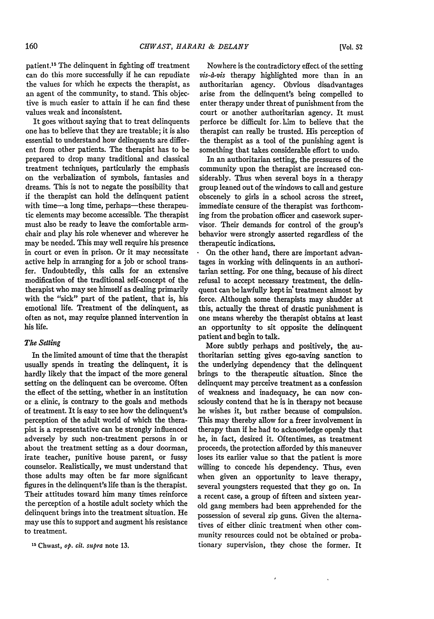patient.<sup>15</sup> The delinquent in fighting off treatment can do this more successfully if he can repudiate the values for which he expects the therapist, as an agent of the community, to stand. This objective is much easier to attain if he can find these values weak and inconsistent.

It goes without saying that to treat delinquents one has to believe that they are treatable; it is also essential to understand how delinquents are different from other patients. The therapist has to be prepared to drop many traditional and classical treatment techniques, particularly the emphasis on the verbalization of symbols, fantasies and dreams. This is not to negate the possibility that if the therapist can hold the delinquent patient with time---a long time, perhaps---these therapeutic elements may become accessible. The therapist must also be ready to leave the comfortable armchair and play his role whenever and wherever he may be needed. This may well require his presence in court or even in prison. Or it may necessitate active help in arranging for a **job** or school transfer. Undoubtedly, this calls for an extensive modification of the traditional self-concept of the therapist who may see himself as dealing primarily with the "sick" part of the patient, that is, his emotional life. Treatment of the delinquent, as often as not, may require planned intervention in his life.

# *The Seting*

In the limited amount of time that the therapist usually spends in treating the delinquent, it is hardly likely that the impact of the more general setting on the delinquent can be overcome. Often the effect of the setting, whether in an institution or a clinic, is contrary to the goals and methods of treatment. It is easy to see how the delinquent's perception of the adult world of which the therapist is a representative can be strongly influenced adversely **by** such non-treatment persons in or about the treatment setting as a dour doorman, irate teacher, punitive house parent, or fussy counselor. Realistically, we must understand that those adults may often be far more significant figures in the delinquent's life than is the therapist. Their attitudes toward him many times reinforce the perception of a hostile adult society which the delinquent brings into the treatment situation. He may use this to support and augment his resistance to treatment.

**1-** Chwast, *op. cit. supra* note **13.**

Nowhere is the contradictory effect of the setting *vis-d-vis* therapy highlighted more than in an authoritarian agency. Obvious disadvantages arise from the delinquent's being compelled to enter therapy under threat of punishment from the court or another authoritarian agency. It must perforce be difficult for. **him** to believe that the therapist can really be trusted. His perception of the therapist as a tool of the punishing agent is something that takes considerable effort to undo.

In an authoritarian setting, the pressures of the community upon the therapist are increased considerably. Thus when several boys in a therapy group leaned out of the windows to call and gesture obscenely to girls in a school across the street, immediate censure of the therapist was forthcoming from the probation officer and casework supervisor. Their demands for control of the group's behavior were strongly asserted regardless of the therapeutic indications.

 $\ddot{\bullet}$ On the other hand, there are important advantages in working with delinquents in an authoritarian setting. For one thing, because of his direct refusal to accept necessary treatment, the delinquent can be lawfully kept **in'** treatment almost by force. Although some therapists may shudder at this, actually the threat of drastic punishment is one means whereby the therapist obtains at least an opportunity to sit opposite the delinquent patient and begin to talk.

More subtly perhaps and positively, the authoritarian setting gives ego-saving sanction to the underlying dependency that the delinquent brings to the therapeutic situation. Since the delinquent may perceive treatment as a confession of weakness and inadequacy, he can now consciously contend that he is in therapy not because he wishes it, but rather because of compulsion. This may thereby allow for a freer involvement in therapy than if he had to acknowledge openly that he, in fact, desired it. Oftentimes, as treatment proceeds, the protection afforded by this maneuver loses its earlier value so that the patient is more willing to concede his dependency. Thus, even when given an opportunity to leave therapy, several youngsters requested that they go on. In a recent case, a group of fifteen and sixteen yearold gang members had been apprehended for the possession of several zip guns. Given the alternatives of either clinic treatment when other community resources could not be obtained or probationary supervision, they chose the former. It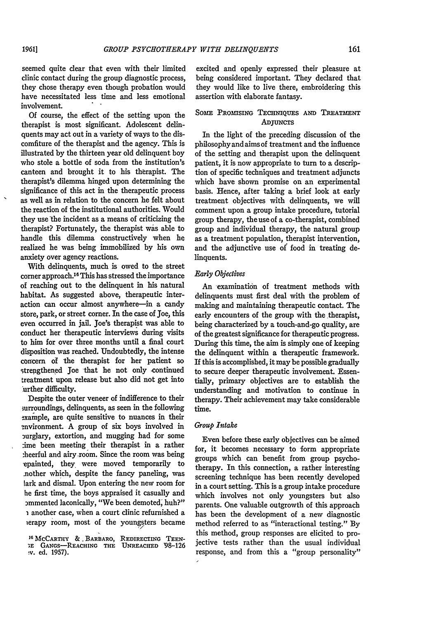seemed quite clear that even with their limited clinic contact during the group diagnostic process, they chose therapy even though probation would have necessitated less time and less emotional involvement.

Of course, the effect of the setting upon the therapist is most significant. Adolescent delinquents may act out in a variety of ways to the discomfiture of the therapist and the agency. This is illustrated by the thirteen year old delinquent boy who stole a bottle of soda from the institution's canteen and brought it to his therapist. The therapist's dilemma hinged upon determining the significance of this act in the therapeutic process as well as in relation to the concern he felt about the reaction of the institutional authorities. Would they use the incident as a means of criticizing the therapist? Fortunately, the therapist was able to handle this dilemma constructively when he realized he was being immobilized by his own anxiety over agency reactions.

With delinquents, much is owed to the street corner approach.16 This has stressed the importance of reaching out to the delinquent in his natural habitat. As suggested above, therapeutic interaction can occur almost anywhere-in a candy store, park, or street corner. In the case of Joe, this even occurred in jail. Joe's therapist was able to conduct her therapeutic interviews during visits to him for over three months until a final court disposition was reached. Undoubtedly, the intense concern of the therapist for her patient so strengthened Joe that he not only continued treatment upon release but also did not get into :urther difficulty.

Despite the outer veneer of indifference to their surroundings, delinquents, as seen in the following example, are quite sensitive to nuances in their environment. A group of six boys involved in :urglary, extortion, and mugging had for some :ime been meeting their therapist in a rather :heerful and airy.room. Since the room was being -epainted, they, were moved temporarily to .nother which, despite the fancy paneling, was lark and dismal. Upon entering the new room for he first time, the boys appraised it casually and ammented laconically, "We been demoted, huh?" i another case, when a court clinic refurnished a ierapy room, most of the youngsters became

excited and openly expressed their pleasure at being considered important. They declared that they would like to live there, embroidering this assertion with elaborate fantasy.

# SOME **PROMISING TECHNIQUES AND TREATMENT ADjUNCTS**

In the light of the preceding discussion of the philosophy and aims of treatment and the influence of the setting and therapist upon the delinquent patient, it is now appropriate to turn to a description of specific techniques and treatment adjuncts which have shown promise on an experimental basis. Hence, after taking a brief look at early treatment objectives with delinquents, we will comment upon a group intake procedure, tutorial group therapy, the use of a co-therapist, combined group and individual therapy, the natural group as a treatment population, therapist intervention, and the adjunctive use of food in treating delinquents.

# *Early Objectives*

An examination of treatment methods with delinquents must first deal with the problem of making and maintaining therapeutic contact. The early encounters of the group with the therapist, being characterized by a touch-and-go quality, are of the greatest significance for therapeutic progress. During this time, the aim is simply one of keeping the delinquent within a therapeutic framework. **If** this is accomplished, it may be possible gradually to secure deeper therapeutic involvement. Essentially, primary objectives are to establish the understanding and motivation to continue in therapy. Their achievement may take considerable time.

# *Group Intake*

Even before these early objectives can be aimed for, it becomes necessary to form appropriate groups which can benefit from group psychotherapy. In this connection, a rather interesting screening technique has been recently developed in a court setting. This is a group intake procedure which involves not only youngsters but also parents. One valuable outgrowth of this approach has been the development of a new diagnostic method referred to as "interactional testing." By this method, group responses are elicited to projective tests rather than the usual individual response, and from this a "group personality"

<sup>&</sup>lt;sup>16</sup> McCARTHY & BARBARO, REDIRECTING TEEN-**;E** GANGS-REACHING **THE UNREACHED** 98-126 • v. ed. **1957).**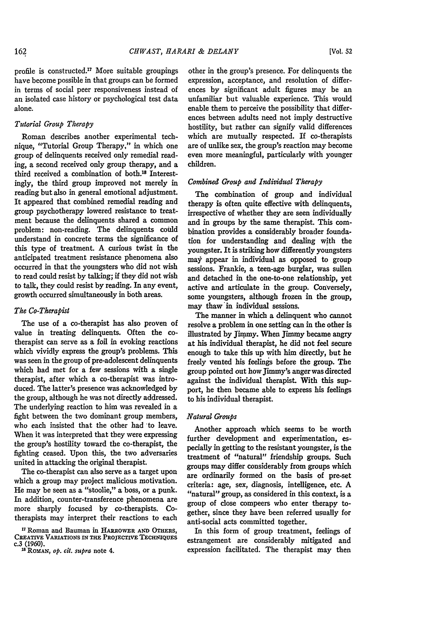profile is constructed.<sup>17</sup> More suitable groupings have become possible in that groups can be formed in terms of social peer responsiveness instead of an isolated case history or psychological test data alone.

# *Tutorial Group Therapy*

Roman describes another experimental technique, "Tutorial Group Therapy," in which one group of delinquents received only remedial reading, a second received only group therapy, and a third received a combination of both.18 Interestingly, the third group improved not merely in reading but also in general emotional adjustment. It appeared that combined remedial reading and group psychotherapy lowered resistance to treatment because the delinquents shared a common problem: non-reading. The delinquents could understand in concrete terms the significance of this type of treatment. A curious twist in the anticipated treatment resistance phenomena also occurred in that the youngsters who did not wish to read could resist by talking; if they did not wish to talk, they could resist by reading. In any event, growth occurred simultaneously in both areas.

# *The Co-Therapist*

The use of a co-therapist has also proven of value in treating delinquents. Often the cotherapist can serve as a foil in evoking reactions which vividly express the group's problems. This was seen in the group of pre-adolescent delinquents which had met for a few sessions with a single therapist, after which a co-therapist was introduced. The latter's presence was acknowledged by the group, although he was not directly addressed. The underlying reaction to him was revealed in a fight between the two dominant group members, who each insisted that the other had to leave. When it was interpreted that they were expressing the group's hostility toward the co-therapist, the fighting ceased. Upon this, the two adversaries united in attacking the original therapist.

The co-therapist can also serve as a target upon which a group may project malicious motivation. He may be seen as a "stoolie," a boss, or a punk. In addition, counter-transference phenomena are more sharply focused by co-therapists. Cotherapists may interpret their reactions to each

other in the group's presence. For delinquents the expression, acceptance, and resolution of differences **by** significant adult figures may be an unfamiliar but valuable experience. This would enable them to perceive the possibility that differences between adults need not imply destructive hostility, but rather can signify valid differences which are mutually respected. **If** co-therapists are of unlike sex, the group's reaction may become even more meaningful, particularly with younger children.

# *Combined Group and Individual Therapy*

The combination of group and individual therapy is often quite effective with delinquents, irrespective of whether they are seen individually and in groups by the same therapist. This combination provides a considerably broader foundation for understanding and dealing with the youngster. It is striking how differently youngsters may appear in individual as opposed to group sessions. Frankie, a teen-age burglar, was sullen and detached in the one-to-one relationship, yet active and articulate in the group. Conversely, some youngsters, although frozen in the group, may thaw in individual sessions.

The manner in which a delinquent who cannot resolve a problem in one setting can in the other is illustrated **by** Jimmy. When Jimmy became angry at his individual therapist, he did not feel secure enough to take this up with him directly, but he freely vented his feelings before the group. The group pointed out how Jimmy's anger was directed against the individual therapist. With this support, he then became able to express his feelings to his individual therapist.

#### *Natural Groups*

Another approach which seems to be worth further development and experimentation, especially in getting to the resistant youngster, is the treatment of "natural" friendship groups. Such groups may differ considerably from groups which are ordinarily formed on the basis of pre-set criteria: age, sex, diagnosis, intelligence, etc. A "natural" group, as considered in this context, is a group of dose compeers who enter therapy together, since they have been referred usually for anti-social acts committed together-

In this form of group treatment, feelings of estrangement are considerably mitigated and expression facilitated. The therapist may then

**<sup>17</sup> Roman** and Bauman in **HARROWER AN'D OTHERS,** CREATIVE VARIATIONS IN THE PROJECTIVE TECHNIQUES **c.3 (1960).**

**Is** ROMAN, *op. cit. supra* note 4.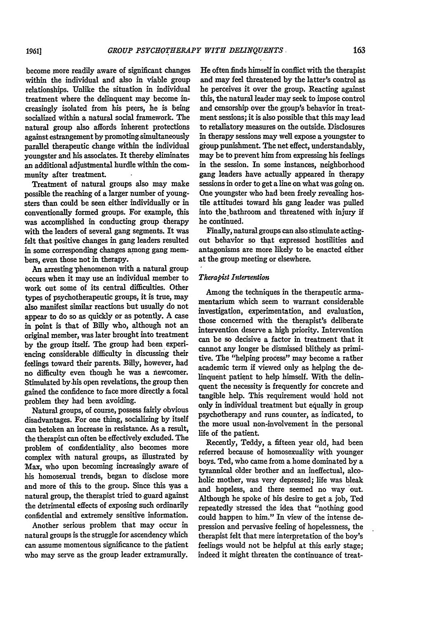become more readily aware of significant changes within the individual and also in viable group relationships. Unlike the situation in individual treatment where the delinquent may become increasingly isolated from his peers, he is being socialized within a natural social framework. The natural group also affords inherent protections against estrangement **by** promotingsimultaneously parallel therapeutic change within the individual youngster and his associates. It thereby eliminates an additional adjustmental hurdle within the community after treatment.

Treatment of natural groups also may make possible the reaching of a larger number of youngsters than could be seen either individually or in conventionally formed groups. For example, this was accomplished in conducting group -therapy with the leaders of several gang segments. It was felt that positive changes in gang leaders resulted in some corresponding changes among gang members, even those not in therapy.

An arresting phenomenon with a natural group Occurs when it may use an individual member to work out some of its central difficulties. Other types of psychotherapeutic groups, it is true, may also manifest similar reactions but usually do not appear to do so as quickly or as potently. A case in point is that of **Billy** who, although not an original member, was later brought into treatment by the group itself. The group had been experiencing considerable difficulty in discussing their feelings toward their parents. Billy, however, had no difficulty even though he was a niewcomer. Stimulated by.his open revelations, the group then gained the confidence to face more directly a focal problem they had been avoiding.

Natural groups, of course, possess fairly obvious disadvantages. For one thing, socializing **by** itself can betoken an increase in resistance. As a result, the therapist can often be effectively excluded. The problem of confidentiality, also becomes more complex with natural groups, as illustrated **by** Max, who upon becoming increasingly aware of his homosexual trends, began to disclose more and more of this to the group. Since this was a natural group, the therapist tried to guard against the detrimental effects of exposing such ordinarily confidential and extremely sensitive information.

Another serious problem that may occur in natural groups is the struggle for ascendency which can assume momentous significance to the patient who may serve as the group leader extramurally.

He often finds himself in conflict with the therapist and may feel threatened **by** the latter's control as he perceives it over the group. Reacting against this, the natural leader may seek to impose control and censorship over the group's behavior in treatment sessions; it is also possible that this may lead to retaliatory measures on the outside. Disclosures in therapy sessions may well expose a youngster to group punishment. The net effect, understandably, may be to prevent him from expressing his feelings in the session. In some instances, neighborhood gang leaders have actually appeared in therapy sessions in order to get a line on what was going on. One youngster who had been freely revealing hostile attitudes toward his gang leader was pulled into the bathroom and threatened with injury if he continued.

Finally, natural groups can also stimulate actingout behavior so that expressed hostilities and antagonisms are more likely to be enacted either at the group meeting or elsewhere.

# *Therapist Intervention*

Among the techniques in the therapeutic armamentarium which seem to warrant considerable investigation, experimentation, and evaluation, those concerned with the therapist's deliberate intervention deserve a high priority. Intervention can be so decisive a factor in treatment that it cannot any longer be dismissed blithely as primi- **tive.** The "helping process" may become a rather academic term **if** viewed only as helping the delinquent patient to help himself. With the delinquent the necessity is frequently for concrete and tangible help. This requirement would hold not only in individual treatment but equally in group psychotherapy and runs counter, as indicated, to the more usual non-involvement in the personal life of the patient.

Recently, Teddy, a fifteen year old, had been referred because of homosexuality with younger boys. Ted, who came from a home dominated **by** a tyrannical older brother and an ineffectual, alcoholic mother, was very depressed; life was bleak and hopeless, and there seemed no way 'out. Although he spoke of his desire to get a **job,** Ted repeatedly stressed the idea that "nothing good could happen to him." In view of the intense depression and pervasive feeling of hopelessness, the therapist felt that mere interpretation of the boy's feelings would not be helpful at this early stage; indeed it might threaten the continuance of treat-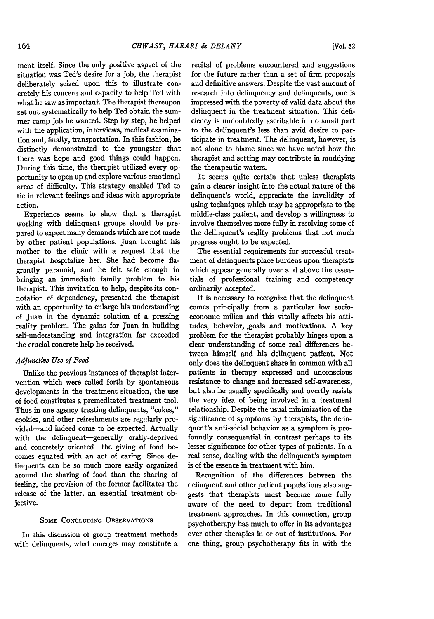**[Vol. 52**

ment itself. Since the only positive aspect of the situation was Ted's desire for a job, the therapist deliberately seized upon this to illustrate concretely his concern and capacity to help Ted with what he saw as important. The therapist thereupon set out systematically to help Ted obtain the summer camp job he wanted. Step by step, he helped with the application, interviews, medical examination and, finally, transportation. In this fashion, he distinctly demonstrated to the youngster that there was hope and good things could happen. During this time, the therapist utilized every opportunity to open up and explore various emotional areas of difficulty. This strategy enabled Ted to tie in relevant feelings and ideas with appropriate action.

Experience seems to show that a therapist working with delinquent groups should be prepared to expect many demands which are not made by other patient populations. Juan brought his mother to the clinic with a request that the therapist hospitalize her. She had become flagrantly paranoid, and he felt safe enough in bringing an immediate family problem to his therapist. This invitation to help, despite its connotation of dependency, presented the therapist with an opportunity to enlarge his understanding of Juan in the dynamic solution of a pressing reality problem. The gains for Juan in building self-understanding and integration far exceeded the crucial concrete help he received.

# *Adjunaive Use of Food*

Unlike the previous instances of therapist intervention which were called forth by spontaneous developments in the treatment situation, the use of food constitutes a premeditated treatment tool. Thus in one agency treating delinquents, "cokes," cookies, and other refreshments are regularly provided-and indeed come to be expected. Actually with the delinquent-generally orally-deprived and concretely oriented-the giving of food becomes equated with an act of caring. Since delinquents can be so much more easily organized around the sharing of food than the sharing of feeling, the provision of the former facilitates the release of the latter, an essential treatment objective.

#### SOME **CONCLUDING OBSERVATIONS**

In this discussion of group treatment methods with delinquents, what emerges may constitute a recital of problems encountered and suggestions for the future rather than a set of firm proposals and definitive answers. Despite the vast amount of research into delinquency and delinquents, one is impressed with the poverty of valid data about the delinquent in the treatment situation. This deficiency is undoubtedly ascribable in no small part to the delinquent's less than avid desire to participate in treatment. The delinquent, however, is not alone to blame since we have noted how the therapist and setting may contribute in muddying the therapeutic waters.

It seems quite certain that unless therapists gain a dearer insight into the actual nature of the delinquent's world, appreciate the invalidity of using techniques which may be appropriate to the middle-class patient, and develop a willingness to involve themselves more fully in resolving some of the delinquent's reality problems that not much progress ought to be expected.

The essential requirements for successful treatment of delinquents place burdens upon therapists which appear generally over and above the essentials of professional training and competency ordinarily accepted.

It is necessary to recognize that the delinquent comes principally from a particular low socioeconomic milieu and this vitally affects his attitudes, behavior, goals and motivations. A key problem for the therapist probably hinges upon a clear understanding of some real differences between himself and his delinquent patient, Not only does the delinquent share in common with all patients in therapy expressed and unconscious resistance to change and increased self-awareness, but also he usually specifically and overtly resists the very idea of being involved in a treatment relationship. Despite the usual minimization of the significance of symptoms by therapists, the delinquent's anti-social behavior as a symptom is profoundly consequential in contrast perhaps to its lesser significance for other types of patients. In a real sense, dealing with the delinquent's symptom is of the essence in treatment with him.

Recognition of the differences between the delinquent and other patient populations also suggests that therapists must become more fully aware of the need to depart from traditional treatment approaches. In this connection, group psychotherapy has much to offer in its advantages over other therapies in or out of institutions. For one thing, group psychotherapy fits in with the